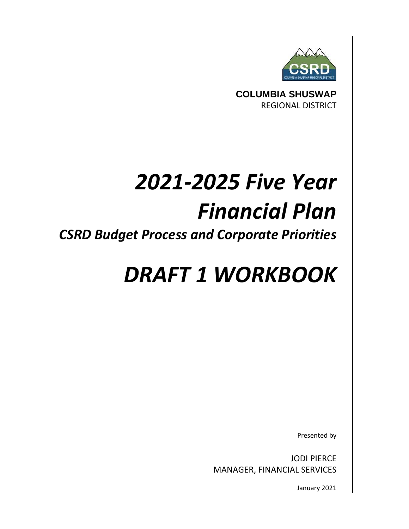

**COLUMBIA SHUSWAP** REGIONAL DISTRICT

# *2021‐2025 Five Year Financial Plan*

*CSRD Budget Process and Corporate Priorities*

## *DRAFT 1 WORKBOOK*

Presented by

JODI PIERCE MANAGER, FINANCIAL SERVICES

January 2021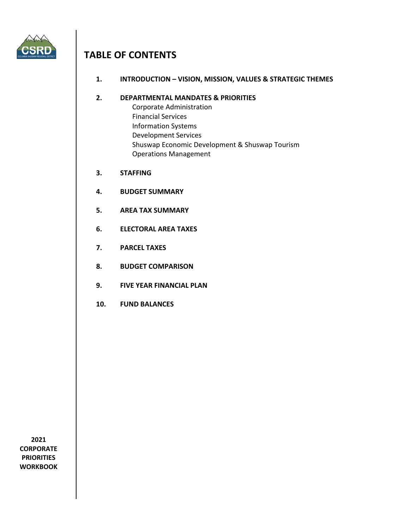

## **TABLE OF CONTENTS**

**1. INTRODUCTION – VISION, MISSION, VALUES & STRATEGIC THEMES**

#### **2. DEPARTMENTAL MANDATES & PRIORITIES**

- Corporate Administration Financial Services Information Systems Development Services Shuswap Economic Development & Shuswap Tourism Operations Management
- **3. STAFFING**
- **4. BUDGET SUMMARY**
- **5. AREA TAX SUMMARY**
- **6. ELECTORAL AREA TAXES**
- **7. PARCEL TAXES**
- **8. BUDGET COMPARISON**
- **9. FIVE YEAR FINANCIAL PLAN**
- **10. FUND BALANCES**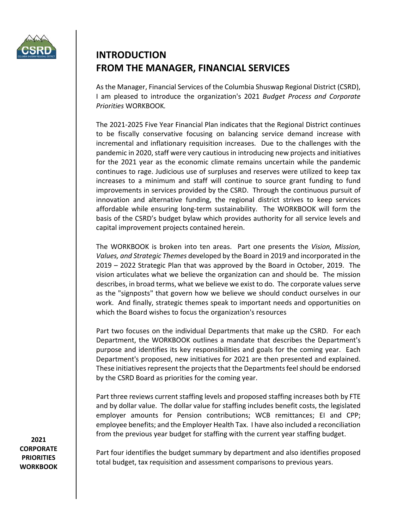

## **INTRODUCTION FROM THE MANAGER, FINANCIAL SERVICES**

As the Manager, Financial Services of the Columbia Shuswap Regional District (CSRD), I am pleased to introduce the organization's 2021 *Budget Process and Corporate Priorities* WORKBOOK*.*

The 2021‐2025 Five Year Financial Plan indicates that the Regional District continues to be fiscally conservative focusing on balancing service demand increase with incremental and inflationary requisition increases. Due to the challenges with the pandemic in 2020, staff were very cautious in introducing new projects and initiatives for the 2021 year as the economic climate remains uncertain while the pandemic continues to rage. Judicious use of surpluses and reserves were utilized to keep tax increases to a minimum and staff will continue to source grant funding to fund improvements in services provided by the CSRD. Through the continuous pursuit of innovation and alternative funding, the regional district strives to keep services affordable while ensuring long-term sustainability. The WORKBOOK will form the basis of the CSRD's budget bylaw which provides authority for all service levels and capital improvement projects contained herein.

The WORKBOOK is broken into ten areas. Part one presents the *Vision, Mission, Values, and Strategic Themes* developed by the Board in 2019 and incorporated in the 2019 – 2022 Strategic Plan that was approved by the Board in October, 2019. The vision articulates what we believe the organization can and should be. The mission describes, in broad terms, what we believe we exist to do. The corporate values serve as the "signposts" that govern how we believe we should conduct ourselves in our work. And finally, strategic themes speak to important needs and opportunities on which the Board wishes to focus the organization's resources

Part two focuses on the individual Departments that make up the CSRD. For each Department, the WORKBOOK outlines a mandate that describes the Department's purpose and identifies its key responsibilities and goals for the coming year. Each Department's proposed, new initiatives for 2021 are then presented and explained. These initiatives represent the projects that the Departments feel should be endorsed by the CSRD Board as priorities for the coming year.

Part three reviews current staffing levels and proposed staffing increases both by FTE and by dollar value. The dollar value for staffing includes benefit costs, the legislated employer amounts for Pension contributions; WCB remittances; EI and CPP; employee benefits; and the Employer Health Tax. I have also included a reconciliation from the previous year budget for staffing with the current year staffing budget.

**2021 CORPORATE PRIORITIES WORKBOOK**

Part four identifies the budget summary by department and also identifies proposed total budget, tax requisition and assessment comparisons to previous years.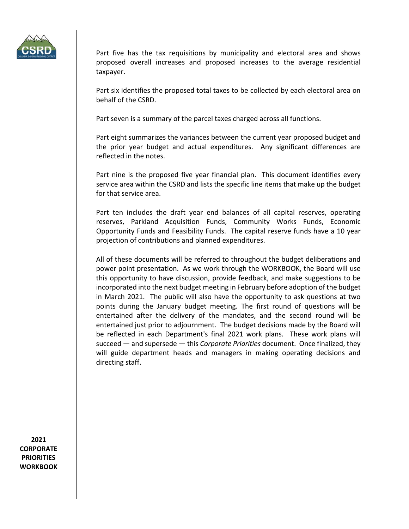

Part five has the tax requisitions by municipality and electoral area and shows proposed overall increases and proposed increases to the average residential taxpayer.

Part six identifies the proposed total taxes to be collected by each electoral area on behalf of the CSRD.

Part seven is a summary of the parcel taxes charged across all functions.

Part eight summarizes the variances between the current year proposed budget and the prior year budget and actual expenditures. Any significant differences are reflected in the notes.

Part nine is the proposed five year financial plan. This document identifies every service area within the CSRD and lists the specific line items that make up the budget for that service area.

Part ten includes the draft year end balances of all capital reserves, operating reserves, Parkland Acquisition Funds, Community Works Funds, Economic Opportunity Funds and Feasibility Funds. The capital reserve funds have a 10 year projection of contributions and planned expenditures.

All of these documents will be referred to throughout the budget deliberations and power point presentation. As we work through the WORKBOOK, the Board will use this opportunity to have discussion, provide feedback, and make suggestions to be incorporated into the next budget meeting in February before adoption of the budget in March 2021. The public will also have the opportunity to ask questions at two points during the January budget meeting. The first round of questions will be entertained after the delivery of the mandates, and the second round will be entertained just prior to adjournment. The budget decisions made by the Board will be reflected in each Department's final 2021 work plans. These work plans will succeed — and supersede — this *Corporate Priorities* document. Once finalized, they will guide department heads and managers in making operating decisions and directing staff.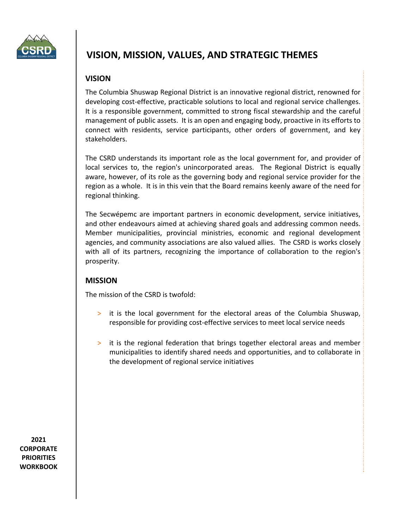

## **VISION, MISSION, VALUES, AND STRATEGIC THEMES**

#### **VISION**

The Columbia Shuswap Regional District is an innovative regional district, renowned for developing cost‐effective, practicable solutions to local and regional service challenges. It is a responsible government, committed to strong fiscal stewardship and the careful management of public assets. It is an open and engaging body, proactive in its efforts to connect with residents, service participants, other orders of government, and key stakeholders.

The CSRD understands its important role as the local government for, and provider of local services to, the region's unincorporated areas. The Regional District is equally aware, however, of its role as the governing body and regional service provider for the region as a whole. It is in this vein that the Board remains keenly aware of the need for regional thinking.

The Secwépemc are important partners in economic development, service initiatives, and other endeavours aimed at achieving shared goals and addressing common needs. Member municipalities, provincial ministries, economic and regional development agencies, and community associations are also valued allies. The CSRD is works closely with all of its partners, recognizing the importance of collaboration to the region's prosperity.

#### **MISSION**

The mission of the CSRD is twofold:

- > it is the local government for the electoral areas of the Columbia Shuswap, responsible for providing cost-effective services to meet local service needs
- > it is the regional federation that brings together electoral areas and member municipalities to identify shared needs and opportunities, and to collaborate in the development of regional service initiatives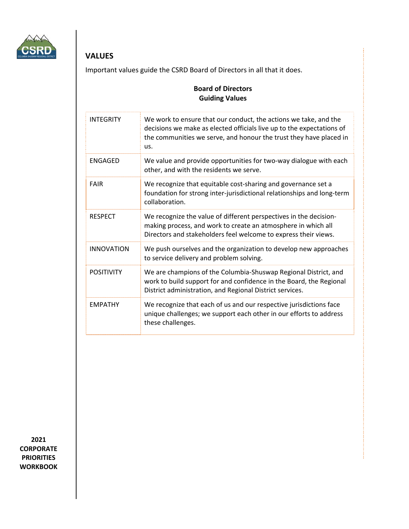

### **VALUES**

Important values guide the CSRD Board of Directors in all that it does.

#### **Board of Directors Guiding Values**

| <b>INTEGRITY</b>  | We work to ensure that our conduct, the actions we take, and the<br>decisions we make as elected officials live up to the expectations of<br>the communities we serve, and honour the trust they have placed in<br>us. |
|-------------------|------------------------------------------------------------------------------------------------------------------------------------------------------------------------------------------------------------------------|
| <b>ENGAGED</b>    | We value and provide opportunities for two-way dialogue with each<br>other, and with the residents we serve.                                                                                                           |
| <b>FAIR</b>       | We recognize that equitable cost-sharing and governance set a<br>foundation for strong inter-jurisdictional relationships and long-term<br>collaboration.                                                              |
| <b>RESPECT</b>    | We recognize the value of different perspectives in the decision-<br>making process, and work to create an atmosphere in which all<br>Directors and stakeholders feel welcome to express their views.                  |
| <b>INNOVATION</b> | We push ourselves and the organization to develop new approaches<br>to service delivery and problem solving.                                                                                                           |
| <b>POSITIVITY</b> | We are champions of the Columbia-Shuswap Regional District, and<br>work to build support for and confidence in the Board, the Regional<br>District administration, and Regional District services.                     |
| <b>EMPATHY</b>    | We recognize that each of us and our respective jurisdictions face<br>unique challenges; we support each other in our efforts to address<br>these challenges.                                                          |